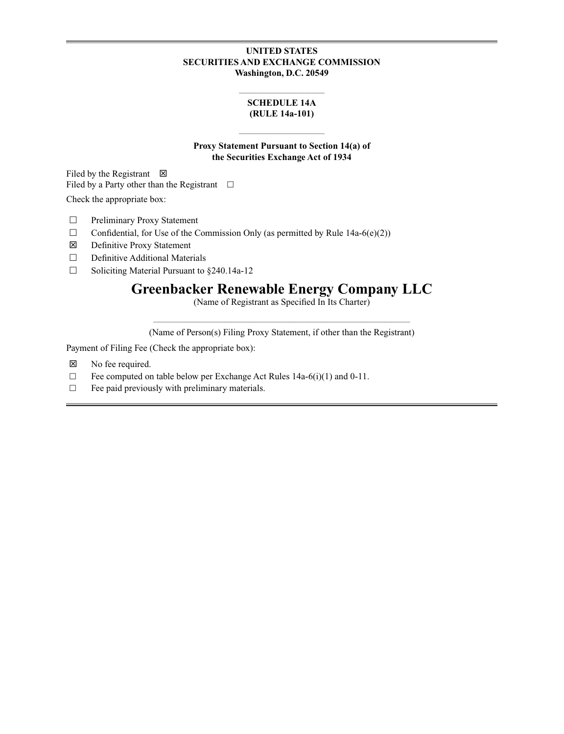# **UNITED STATES SECURITIES AND EXCHANGE COMMISSION Washington, D.C. 20549**

### **\_\_\_\_\_\_\_\_\_\_\_\_\_\_\_\_\_\_\_\_\_\_\_\_\_\_\_\_\_\_\_ SCHEDULE 14A (RULE 14a-101)**

# **Proxy Statement Pursuant to Section 14(a) of the Securities Exchange Act of 1934**

**\_\_\_\_\_\_\_\_\_\_\_\_\_\_\_\_\_\_\_\_\_\_\_\_\_\_\_\_\_\_\_**

Filed by the Registrant  $\boxtimes$ Filed by a Party other than the Registrant  $\square$ 

Check the appropriate box:

- □ Preliminary Proxy Statement
- $\Box$  Confidential, for Use of the Commission Only (as permitted by Rule 14a-6(e)(2))
- Definitive Proxy Statement
- $\Box$  Definitive Additional Materials
- $\Box$  Soliciting Material Pursuant to §240.14a-12

# **Greenbacker Renewable Energy Company LLC**

(Name of Registrant as Specified In Its Charter)

**\_\_\_\_\_\_\_\_\_\_\_\_\_\_\_\_\_\_\_\_\_\_\_\_\_\_\_\_\_\_\_\_\_\_\_\_\_\_\_\_\_\_\_\_\_\_\_\_\_\_\_\_\_\_\_\_\_\_\_\_\_\_\_\_\_\_\_\_\_\_\_\_\_\_\_\_\_\_\_\_\_\_\_\_\_\_\_\_\_\_\_\_\_** (Name of Person(s) Filing Proxy Statement, if other than the Registrant)

Payment of Filing Fee (Check the appropriate box):

- No fee required.
- $\Box$  Fee computed on table below per Exchange Act Rules 14a-6(i)(1) and 0-11.
- $\Box$  Fee paid previously with preliminary materials.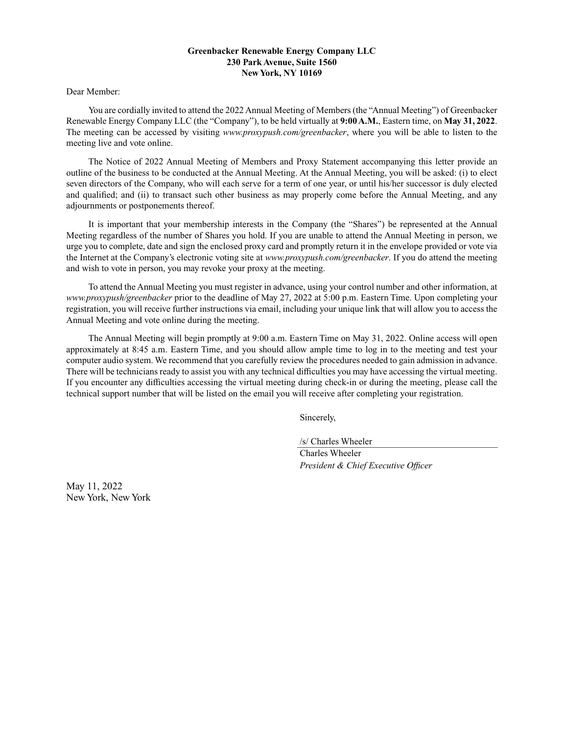### **Greenbacker Renewable Energy Company LLC 230 Park Avenue, Suite 1560 New York, NY 10169**

Dear Member:

You are cordially invited to attend the 2022 Annual Meeting of Members (the "Annual Meeting") of Greenbacker Renewable Energy Company LLC (the "Company"), to be held virtually at **9:00 A.M.**, Eastern time, on **May 31, 2022**. The meeting can be accessed by visiting *www.proxypush.com/greenbacker*, where you will be able to listen to the meeting live and vote online.

The Notice of 2022 Annual Meeting of Members and Proxy Statement accompanying this letter provide an outline of the business to be conducted at the Annual Meeting. At the Annual Meeting, you will be asked: (i) to elect seven directors of the Company, who will each serve for a term of one year, or until his/her successor is duly elected and qualified; and (ii) to transact such other business as may properly come before the Annual Meeting, and any adjournments or postponements thereof.

It is important that your membership interests in the Company (the "Shares") be represented at the Annual Meeting regardless of the number of Shares you hold. If you are unable to attend the Annual Meeting in person, we urge you to complete, date and sign the enclosed proxy card and promptly return it in the envelope provided or vote via the Internet at the Company's electronic voting site at *www.proxypush.com/greenbacker*. If you do attend the meeting and wish to vote in person, you may revoke your proxy at the meeting.

To attend the Annual Meeting you must register in advance, using your control number and other information, at *www.proxypush/greenbacker* prior to the deadline of May 27, 2022 at 5:00 p.m. Eastern Time. Upon completing your registration, you will receive further instructions via email, including your unique link that will allow you to access the Annual Meeting and vote online during the meeting.

The Annual Meeting will begin promptly at 9:00 a.m. Eastern Time on May 31, 2022. Online access will open approximately at 8:45 a.m. Eastern Time, and you should allow ample time to log in to the meeting and test your computer audio system. We recommend that you carefully review the procedures needed to gain admission in advance. There will be technicians ready to assist you with any technical difficulties you may have accessing the virtual meeting. If you encounter any difficulties accessing the virtual meeting during check-in or during the meeting, please call the technical support number that will be listed on the email you will receive after completing your registration.

Sincerely,

/s/ Charles Wheeler

Charles Wheeler *President & Chief Executive Officer*

May 11, 2022 New York, New York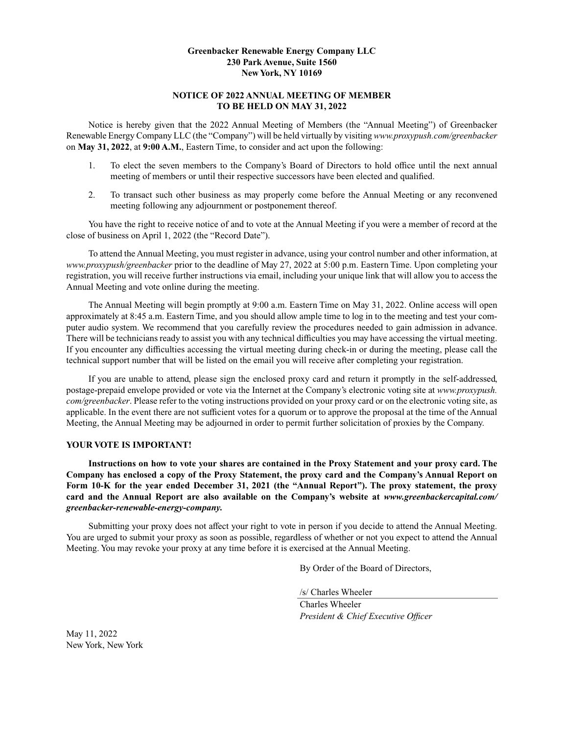## **Greenbacker Renewable Energy Company LLC 230 Park Avenue, Suite 1560 New York, NY 10169**

# **NOTICE OF 2022 ANNUAL MEETING OF MEMBER TO BE HELD ON MAY 31, 2022**

Notice is hereby given that the 2022 Annual Meeting of Members (the "Annual Meeting") of Greenbacker Renewable Energy Company LLC (the "Company") will be held virtually by visiting *www.proxypush.com/greenbacker* on **May 31, 2022**, at **9:00 A.M.**, Eastern Time, to consider and act upon the following:

- 1. To elect the seven members to the Company's Board of Directors to hold office until the next annual meeting of members or until their respective successors have been elected and qualified.
- 2. To transact such other business as may properly come before the Annual Meeting or any reconvened meeting following any adjournment or postponement thereof.

You have the right to receive notice of and to vote at the Annual Meeting if you were a member of record at the close of business on April 1, 2022 (the "Record Date").

To attend the Annual Meeting, you must register in advance, using your control number and other information, at *www.proxypush/greenbacker* prior to the deadline of May 27, 2022 at 5:00 p.m. Eastern Time. Upon completing your registration, you will receive further instructions via email, including your unique link that will allow you to access the Annual Meeting and vote online during the meeting.

The Annual Meeting will begin promptly at 9:00 a.m. Eastern Time on May 31, 2022. Online access will open approximately at 8:45 a.m. Eastern Time, and you should allow ample time to log in to the meeting and test your computer audio system. We recommend that you carefully review the procedures needed to gain admission in advance. There will be technicians ready to assist you with any technical difficulties you may have accessing the virtual meeting. If you encounter any difficulties accessing the virtual meeting during check-in or during the meeting, please call the technical support number that will be listed on the email you will receive after completing your registration.

If you are unable to attend, please sign the enclosed proxy card and return it promptly in the self-addressed, postage-prepaid envelope provided or vote via the Internet at the Company's electronic voting site at *www.proxypush. com/greenbacker*. Please refer to the voting instructions provided on your proxy card or on the electronic voting site, as applicable. In the event there are not sufficient votes for a quorum or to approve the proposal at the time of the Annual Meeting, the Annual Meeting may be adjourned in order to permit further solicitation of proxies by the Company.

# **YOUR VOTE IS IMPORTANT!**

**Instructions on how to vote your shares are contained in the Proxy Statement and your proxy card. The Company has enclosed a copy of the Proxy Statement, the proxy card and the Company's Annual Report on Form 10-K for the year ended December 31, 2021 (the "Annual Report"). The proxy statement, the proxy card and the Annual Report are also available on the Company's website at** *www.greenbackercapital.com/ greenbacker-renewable-energy-company.*

Submitting your proxy does not affect your right to vote in person if you decide to attend the Annual Meeting. You are urged to submit your proxy as soon as possible, regardless of whether or not you expect to attend the Annual Meeting. You may revoke your proxy at any time before it is exercised at the Annual Meeting.

By Order of the Board of Directors,

/s/ Charles Wheeler

Charles Wheeler *President & Chief Executive Officer*

May 11, 2022 New York, New York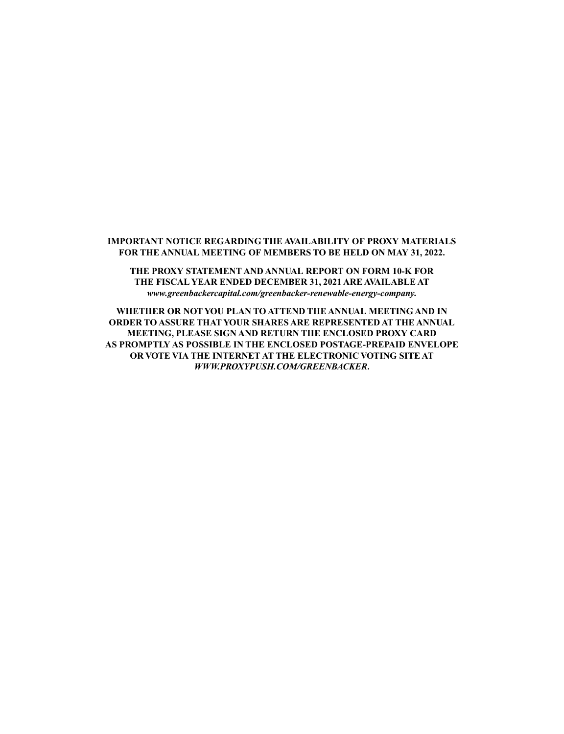# **IMPORTANT NOTICE REGARDING THE AVAILABILITY OF PROXY MATERIALS FOR THE ANNUAL MEETING OF MEMBERS TO BE HELD ON MAY 31, 2022.**

**THE PROXY STATEMENT AND ANNUAL REPORT ON FORM 10-K FOR THE FISCAL YEAR ENDED DECEMBER 31, 2021 ARE AVAILABLE AT** *www.greenbackercapital.com/greenbacker-renewable-energy-company.*

**WHETHER OR NOT YOU PLAN TO ATTEND THE ANNUAL MEETING AND IN ORDER TO ASSURE THAT YOUR SHARES ARE REPRESENTED AT THE ANNUAL MEETING, PLEASE SIGN AND RETURN THE ENCLOSED PROXY CARD AS PROMPTLY AS POSSIBLE IN THE ENCLOSED POSTAGE-PREPAID ENVELOPE OR VOTE VIA THE INTERNET AT THE ELECTRONIC VOTING SITE AT** *WWW.PROXYPUSH.COM/GREENBACKER***.**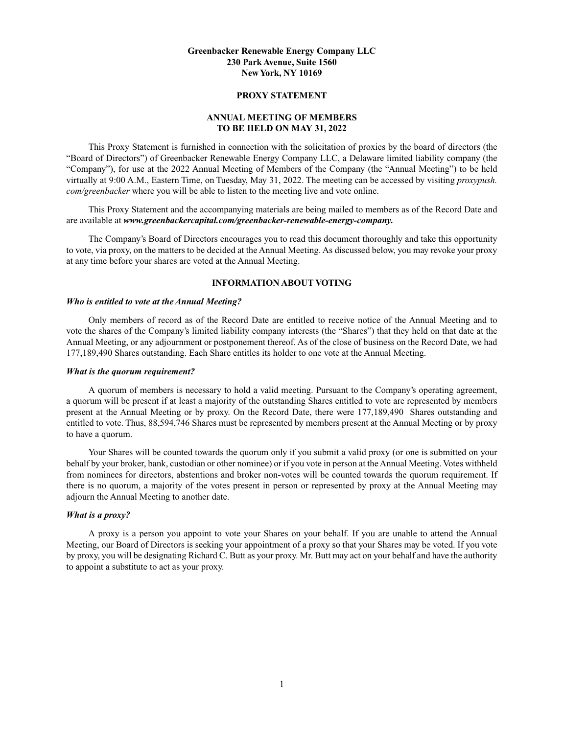### **Greenbacker Renewable Energy Company LLC 230 Park Avenue, Suite 1560 New York, NY 10169**

#### **PROXY STATEMENT**

# **ANNUAL MEETING OF MEMBERS TO BE HELD ON MAY 31, 2022**

This Proxy Statement is furnished in connection with the solicitation of proxies by the board of directors (the "Board of Directors") of Greenbacker Renewable Energy Company LLC, a Delaware limited liability company (the "Company"), for use at the 2022 Annual Meeting of Members of the Company (the "Annual Meeting") to be held virtually at 9:00 A.M., Eastern Time, on Tuesday, May 31, 2022. The meeting can be accessed by visiting *proxypush. com/greenbacker* where you will be able to listen to the meeting live and vote online.

This Proxy Statement and the accompanying materials are being mailed to members as of the Record Date and are available at *www.greenbackercapital.com/greenbacker-renewable-energy-company.*

The Company's Board of Directors encourages you to read this document thoroughly and take this opportunity to vote, via proxy, on the matters to be decided at the Annual Meeting. As discussed below, you may revoke your proxy at any time before your shares are voted at the Annual Meeting.

## **INFORMATION ABOUT VOTING**

### *Who is entitled to vote at the Annual Meeting?*

Only members of record as of the Record Date are entitled to receive notice of the Annual Meeting and to vote the shares of the Company's limited liability company interests (the "Shares") that they held on that date at the Annual Meeting, or any adjournment or postponement thereof. As of the close of business on the Record Date, we had 177,189,490 Shares outstanding. Each Share entitles its holder to one vote at the Annual Meeting.

#### *What is the quorum requirement?*

A quorum of members is necessary to hold a valid meeting. Pursuant to the Company's operating agreement, a quorum will be present if at least a majority of the outstanding Shares entitled to vote are represented by members present at the Annual Meeting or by proxy. On the Record Date, there were 177,189,490 Shares outstanding and entitled to vote. Thus, 88,594,746 Shares must be represented by members present at the Annual Meeting or by proxy to have a quorum.

Your Shares will be counted towards the quorum only if you submit a valid proxy (or one is submitted on your behalf by your broker, bank, custodian or other nominee) or if you vote in person at the Annual Meeting. Votes withheld from nominees for directors, abstentions and broker non-votes will be counted towards the quorum requirement. If there is no quorum, a majority of the votes present in person or represented by proxy at the Annual Meeting may adjourn the Annual Meeting to another date.

#### *What is a proxy?*

A proxy is a person you appoint to vote your Shares on your behalf. If you are unable to attend the Annual Meeting, our Board of Directors is seeking your appointment of a proxy so that your Shares may be voted. If you vote by proxy, you will be designating Richard C. Butt as your proxy. Mr. Butt may act on your behalf and have the authority to appoint a substitute to act as your proxy.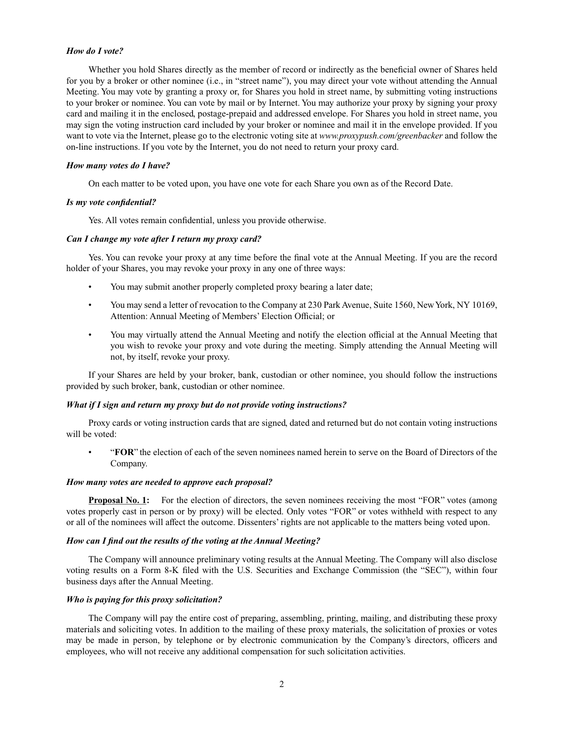#### *How do I vote?*

Whether you hold Shares directly as the member of record or indirectly as the beneficial owner of Shares held for you by a broker or other nominee (i.e., in "street name"), you may direct your vote without attending the Annual Meeting. You may vote by granting a proxy or, for Shares you hold in street name, by submitting voting instructions to your broker or nominee. You can vote by mail or by Internet. You may authorize your proxy by signing your proxy card and mailing it in the enclosed, postage-prepaid and addressed envelope. For Shares you hold in street name, you may sign the voting instruction card included by your broker or nominee and mail it in the envelope provided. If you want to vote via the Internet, please go to the electronic voting site at *www.proxypush.com/greenbacker* and follow the on-line instructions. If you vote by the Internet, you do not need to return your proxy card.

#### *How many votes do I have?*

On each matter to be voted upon, you have one vote for each Share you own as of the Record Date.

### *Is my vote confidential?*

Yes. All votes remain confidential, unless you provide otherwise.

#### *Can I change my vote after I return my proxy card?*

Yes. You can revoke your proxy at any time before the final vote at the Annual Meeting. If you are the record holder of your Shares, you may revoke your proxy in any one of three ways:

- You may submit another properly completed proxy bearing a later date;
- You may send a letter of revocation to the Company at 230 Park Avenue, Suite 1560, New York, NY 10169, Attention: Annual Meeting of Members' Election Official; or
- You may virtually attend the Annual Meeting and notify the election official at the Annual Meeting that you wish to revoke your proxy and vote during the meeting. Simply attending the Annual Meeting will not, by itself, revoke your proxy.

If your Shares are held by your broker, bank, custodian or other nominee, you should follow the instructions provided by such broker, bank, custodian or other nominee.

#### *What if I sign and return my proxy but do not provide voting instructions?*

Proxy cards or voting instruction cards that are signed, dated and returned but do not contain voting instructions will be voted:

• "**FOR**" the election of each of the seven nominees named herein to serve on the Board of Directors of the Company.

#### *How many votes are needed to approve each proposal?*

**Proposal No. 1:** For the election of directors, the seven nominees receiving the most "FOR" votes (among votes properly cast in person or by proxy) will be elected. Only votes "FOR" or votes withheld with respect to any or all of the nominees will affect the outcome. Dissenters' rights are not applicable to the matters being voted upon.

### *How can I find out the results of the voting at the Annual Meeting?*

The Company will announce preliminary voting results at the Annual Meeting. The Company will also disclose voting results on a Form 8-K filed with the U.S. Securities and Exchange Commission (the "SEC"), within four business days after the Annual Meeting.

#### *Who is paying for this proxy solicitation?*

The Company will pay the entire cost of preparing, assembling, printing, mailing, and distributing these proxy materials and soliciting votes. In addition to the mailing of these proxy materials, the solicitation of proxies or votes may be made in person, by telephone or by electronic communication by the Company's directors, officers and employees, who will not receive any additional compensation for such solicitation activities.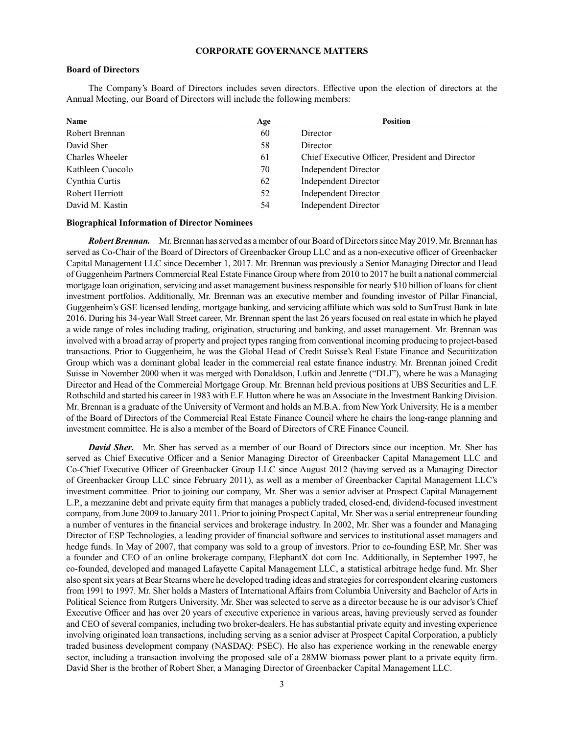#### **CORPORATE GOVERNANCE MATTERS**

#### **Board of Directors**

The Company's Board of Directors includes seven directors. Effective upon the election of directors at the Annual Meeting, our Board of Directors will include the following members:

| Name             | Age | <b>Position</b>                                 |
|------------------|-----|-------------------------------------------------|
| Robert Brennan   | 60  | Director                                        |
| David Sher       | 58  | Director                                        |
| Charles Wheeler  | 61  | Chief Executive Officer, President and Director |
| Kathleen Cuocolo | 70  | Independent Director                            |
| Cynthia Curtis   | 62  | Independent Director                            |
| Robert Herriott  | 52  | <b>Independent Director</b>                     |
| David M. Kastin  | 54  | Independent Director                            |

#### **Biographical Information of Director Nominees**

*Robert Brennan.* Mr. Brennan has served as a member of our Board of Directors since May 2019. Mr. Brennan has served as Co-Chair of the Board of Directors of Greenbacker Group LLC and as a non-executive officer of Greenbacker Capital Management LLC since December 1, 2017. Mr. Brennan was previously a Senior Managing Director and Head of Guggenheim Partners Commercial Real Estate Finance Group where from 2010 to 2017 he built a national commercial mortgage loan origination, servicing and asset management business responsible for nearly \$10 billion of loans for client investment portfolios. Additionally, Mr. Brennan was an executive member and founding investor of Pillar Financial, Guggenheim's GSE licensed lending, mortgage banking, and servicing affiliate which was sold to SunTrust Bank in late 2016. During his 34-year Wall Street career, Mr. Brennan spent the last 26 years focused on real estate in which he played a wide range of roles including trading, origination, structuring and banking, and asset management. Mr. Brennan was involved with a broad array of property and project types ranging from conventional incoming producing to project-based transactions. Prior to Guggenheim, he was the Global Head of Credit Suisse's Real Estate Finance and Securitization Group which was a dominant global leader in the commercial real estate finance industry. Mr. Brennan joined Credit Suisse in November 2000 when it was merged with Donaldson, Lufkin and Jenrette ("DLJ"), where he was a Managing Director and Head of the Commercial Mortgage Group. Mr. Brennan held previous positions at UBS Securities and L.F. Rothschild and started his career in 1983 with E.F. Hutton where he was an Associate in the Investment Banking Division. Mr. Brennan is a graduate of the University of Vermont and holds an M.B.A. from New York University. He is a member of the Board of Directors of the Commercial Real Estate Finance Council where he chairs the long-range planning and investment committee. He is also a member of the Board of Directors of CRE Finance Council.

*David Sher***.** Mr. Sher has served as a member of our Board of Directors since our inception. Mr. Sher has served as Chief Executive Officer and a Senior Managing Director of Greenbacker Capital Management LLC and Co-Chief Executive Officer of Greenbacker Group LLC since August 2012 (having served as a Managing Director of Greenbacker Group LLC since February 2011), as well as a member of Greenbacker Capital Management LLC's investment committee. Prior to joining our company, Mr. Sher was a senior adviser at Prospect Capital Management L.P., a mezzanine debt and private equity firm that manages a publicly traded, closed-end, dividend-focused investment company, from June 2009 to January 2011. Prior to joining Prospect Capital, Mr. Sher was a serial entrepreneur founding a number of ventures in the financial services and brokerage industry. In 2002, Mr. Sher was a founder and Managing Director of ESP Technologies, a leading provider of financial software and services to institutional asset managers and hedge funds. In May of 2007, that company was sold to a group of investors. Prior to co-founding ESP, Mr. Sher was a founder and CEO of an online brokerage company, ElephantX dot com Inc. Additionally, in September 1997, he co-founded, developed and managed Lafayette Capital Management LLC, a statistical arbitrage hedge fund. Mr. Sher also spent six years at Bear Stearns where he developed trading ideas and strategies for correspondent clearing customers from 1991 to 1997. Mr. Sher holds a Masters of International Affairs from Columbia University and Bachelor of Arts in Political Science from Rutgers University. Mr. Sher was selected to serve as a director because he is our advisor's Chief Executive Officer and has over 20 years of executive experience in various areas, having previously served as founder and CEO of several companies, including two broker-dealers. He has substantial private equity and investing experience involving originated loan transactions, including serving as a senior adviser at Prospect Capital Corporation, a publicly traded business development company (NASDAQ: PSEC). He also has experience working in the renewable energy sector, including a transaction involving the proposed sale of a 28MW biomass power plant to a private equity firm. David Sher is the brother of Robert Sher, a Managing Director of Greenbacker Capital Management LLC.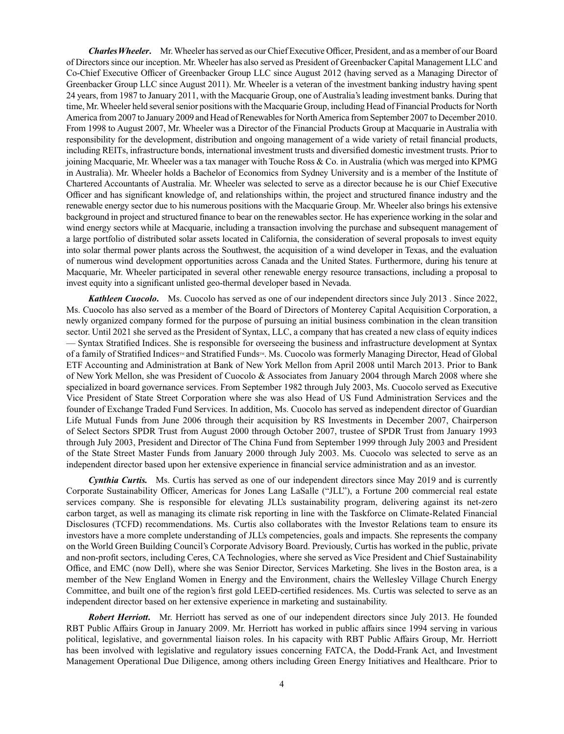*Charles Wheeler***.** Mr. Wheeler has served as our Chief Executive Officer, President, and as a member of our Board of Directors since our inception. Mr. Wheeler has also served as President of Greenbacker Capital Management LLC and Co-Chief Executive Officer of Greenbacker Group LLC since August 2012 (having served as a Managing Director of Greenbacker Group LLC since August 2011). Mr. Wheeler is a veteran of the investment banking industry having spent 24 years, from 1987 to January 2011, with the Macquarie Group, one of Australia's leading investment banks. During that time, Mr. Wheeler held several senior positions with the Macquarie Group, including Head of Financial Products for North America from 2007 to January 2009 and Head of Renewables for North America from September 2007 to December 2010. From 1998 to August 2007, Mr. Wheeler was a Director of the Financial Products Group at Macquarie in Australia with responsibility for the development, distribution and ongoing management of a wide variety of retail financial products, including REITs, infrastructure bonds, international investment trusts and diversified domestic investment trusts. Prior to joining Macquarie, Mr. Wheeler was a tax manager with Touche Ross & Co. in Australia (which was merged into KPMG in Australia). Mr. Wheeler holds a Bachelor of Economics from Sydney University and is a member of the Institute of Chartered Accountants of Australia. Mr. Wheeler was selected to serve as a director because he is our Chief Executive Officer and has significant knowledge of, and relationships within, the project and structured finance industry and the renewable energy sector due to his numerous positions with the Macquarie Group. Mr. Wheeler also brings his extensive background in project and structured finance to bear on the renewables sector. He has experience working in the solar and wind energy sectors while at Macquarie, including a transaction involving the purchase and subsequent management of a large portfolio of distributed solar assets located in California, the consideration of several proposals to invest equity into solar thermal power plants across the Southwest, the acquisition of a wind developer in Texas, and the evaluation of numerous wind development opportunities across Canada and the United States. Furthermore, during his tenure at Macquarie, Mr. Wheeler participated in several other renewable energy resource transactions, including a proposal to invest equity into a significant unlisted geo-thermal developer based in Nevada.

*Kathleen Cuocolo***.** Ms. Cuocolo has served as one of our independent directors since July 2013 . Since 2022, Ms. Cuocolo has also served as a member of the Board of Directors of Monterey Capital Acquisition Corporation, a newly organized company formed for the purpose of pursuing an initial business combination in the clean transition sector. Until 2021 she served as the President of Syntax, LLC, a company that has created a new class of equity indices — Syntax Stratified Indices. She is responsible for overseeing the business and infrastructure development at Syntax of a family of Stratified Indices™ and Stratified Funds™. Ms. Cuocolo was formerly Managing Director, Head of Global ETF Accounting and Administration at Bank of New York Mellon from April 2008 until March 2013. Prior to Bank of New York Mellon, she was President of Cuocolo & Associates from January 2004 through March 2008 where she specialized in board governance services. From September 1982 through July 2003, Ms. Cuocolo served as Executive Vice President of State Street Corporation where she was also Head of US Fund Administration Services and the founder of Exchange Traded Fund Services. In addition, Ms. Cuocolo has served as independent director of Guardian Life Mutual Funds from June 2006 through their acquisition by RS Investments in December 2007, Chairperson of Select Sectors SPDR Trust from August 2000 through October 2007, trustee of SPDR Trust from January 1993 through July 2003, President and Director of The China Fund from September 1999 through July 2003 and President of the State Street Master Funds from January 2000 through July 2003. Ms. Cuocolo was selected to serve as an independent director based upon her extensive experience in financial service administration and as an investor.

*Cynthia Curtis.* Ms. Curtis has served as one of our independent directors since May 2019 and is currently Corporate Sustainability Officer, Americas for Jones Lang LaSalle ("JLL"), a Fortune 200 commercial real estate services company. She is responsible for elevating JLL's sustainability program, delivering against its net-zero carbon target, as well as managing its climate risk reporting in line with the Taskforce on Climate-Related Financial Disclosures (TCFD) recommendations. Ms. Curtis also collaborates with the Investor Relations team to ensure its investors have a more complete understanding of JLL's competencies, goals and impacts. She represents the company on the World Green Building Council's Corporate Advisory Board. Previously, Curtis has worked in the public, private and non-profit sectors, including Ceres, CA Technologies, where she served as Vice President and Chief Sustainability Office, and EMC (now Dell), where she was Senior Director, Services Marketing. She lives in the Boston area, is a member of the New England Women in Energy and the Environment, chairs the Wellesley Village Church Energy Committee, and built one of the region's first gold LEED-certified residences. Ms. Curtis was selected to serve as an independent director based on her extensive experience in marketing and sustainability.

*Robert Herriott***.** Mr. Herriott has served as one of our independent directors since July 2013. He founded RBT Public Affairs Group in January 2009. Mr. Herriott has worked in public affairs since 1994 serving in various political, legislative, and governmental liaison roles. In his capacity with RBT Public Affairs Group, Mr. Herriott has been involved with legislative and regulatory issues concerning FATCA, the Dodd-Frank Act, and Investment Management Operational Due Diligence, among others including Green Energy Initiatives and Healthcare. Prior to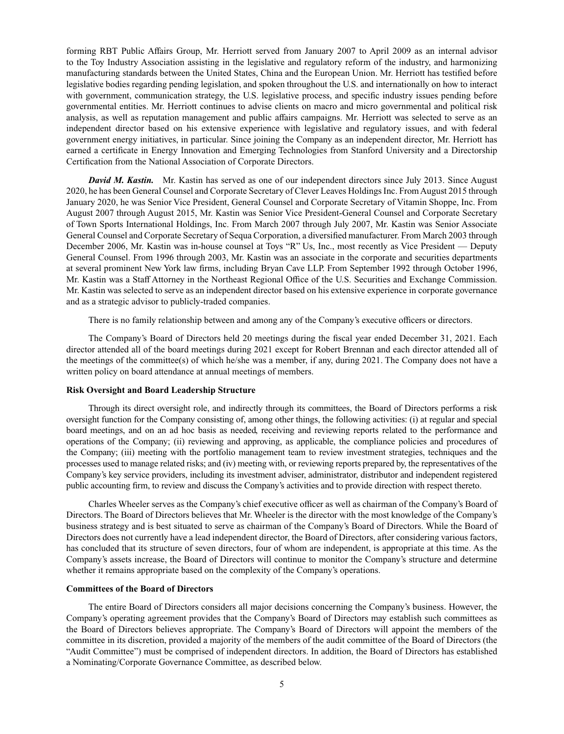forming RBT Public Affairs Group, Mr. Herriott served from January 2007 to April 2009 as an internal advisor to the Toy Industry Association assisting in the legislative and regulatory reform of the industry, and harmonizing manufacturing standards between the United States, China and the European Union. Mr. Herriott has testified before legislative bodies regarding pending legislation, and spoken throughout the U.S. and internationally on how to interact with government, communication strategy, the U.S. legislative process, and specific industry issues pending before governmental entities. Mr. Herriott continues to advise clients on macro and micro governmental and political risk analysis, as well as reputation management and public affairs campaigns. Mr. Herriott was selected to serve as an independent director based on his extensive experience with legislative and regulatory issues, and with federal government energy initiatives, in particular. Since joining the Company as an independent director, Mr. Herriott has earned a certificate in Energy Innovation and Emerging Technologies from Stanford University and a Directorship Certification from the National Association of Corporate Directors.

*David M. Kastin.* Mr. Kastin has served as one of our independent directors since July 2013. Since August 2020, he has been General Counsel and Corporate Secretary of Clever Leaves Holdings Inc. From August 2015 through January 2020, he was Senior Vice President, General Counsel and Corporate Secretary of Vitamin Shoppe, Inc. From August 2007 through August 2015, Mr. Kastin was Senior Vice President-General Counsel and Corporate Secretary of Town Sports International Holdings, Inc. From March 2007 through July 2007, Mr. Kastin was Senior Associate General Counsel and Corporate Secretary of Sequa Corporation, a diversified manufacturer. From March 2003 through December 2006, Mr. Kastin was in-house counsel at Toys "R" Us, Inc., most recently as Vice President — Deputy General Counsel. From 1996 through 2003, Mr. Kastin was an associate in the corporate and securities departments at several prominent New York law firms, including Bryan Cave LLP. From September 1992 through October 1996, Mr. Kastin was a Staff Attorney in the Northeast Regional Office of the U.S. Securities and Exchange Commission. Mr. Kastin was selected to serve as an independent director based on his extensive experience in corporate governance and as a strategic advisor to publicly-traded companies.

There is no family relationship between and among any of the Company's executive officers or directors.

The Company's Board of Directors held 20 meetings during the fiscal year ended December 31, 2021. Each director attended all of the board meetings during 2021 except for Robert Brennan and each director attended all of the meetings of the committee(s) of which he/she was a member, if any, during 2021. The Company does not have a written policy on board attendance at annual meetings of members.

#### **Risk Oversight and Board Leadership Structure**

Through its direct oversight role, and indirectly through its committees, the Board of Directors performs a risk oversight function for the Company consisting of, among other things, the following activities: (i) at regular and special board meetings, and on an ad hoc basis as needed, receiving and reviewing reports related to the performance and operations of the Company; (ii) reviewing and approving, as applicable, the compliance policies and procedures of the Company; (iii) meeting with the portfolio management team to review investment strategies, techniques and the processes used to manage related risks; and (iv) meeting with, or reviewing reports prepared by, the representatives of the Company's key service providers, including its investment adviser, administrator, distributor and independent registered public accounting firm, to review and discuss the Company's activities and to provide direction with respect thereto.

Charles Wheeler serves as the Company's chief executive officer as well as chairman of the Company's Board of Directors. The Board of Directors believes that Mr. Wheeler is the director with the most knowledge of the Company's business strategy and is best situated to serve as chairman of the Company's Board of Directors. While the Board of Directors does not currently have a lead independent director, the Board of Directors, after considering various factors, has concluded that its structure of seven directors, four of whom are independent, is appropriate at this time. As the Company's assets increase, the Board of Directors will continue to monitor the Company's structure and determine whether it remains appropriate based on the complexity of the Company's operations.

#### **Committees of the Board of Directors**

The entire Board of Directors considers all major decisions concerning the Company's business. However, the Company's operating agreement provides that the Company's Board of Directors may establish such committees as the Board of Directors believes appropriate. The Company's Board of Directors will appoint the members of the committee in its discretion, provided a majority of the members of the audit committee of the Board of Directors (the "Audit Committee") must be comprised of independent directors. In addition, the Board of Directors has established a Nominating/Corporate Governance Committee, as described below.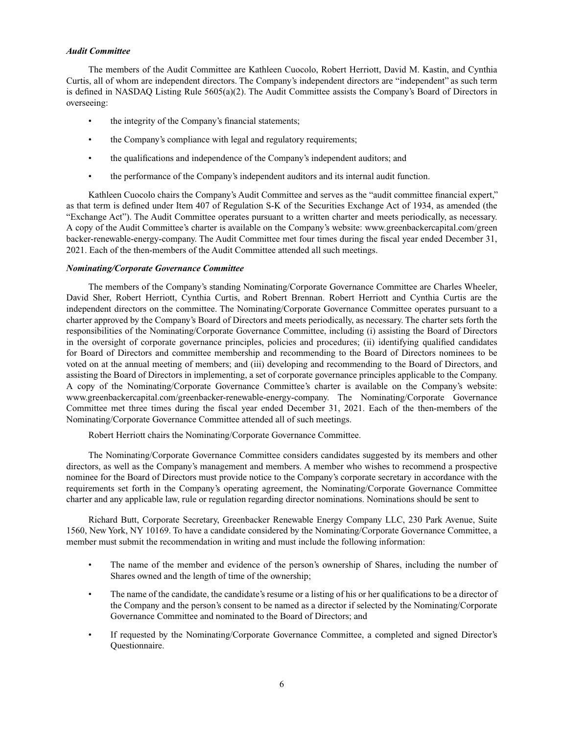#### *Audit Committee*

The members of the Audit Committee are Kathleen Cuocolo, Robert Herriott, David M. Kastin, and Cynthia Curtis, all of whom are independent directors. The Company's independent directors are "independent" as such term is defined in NASDAQ Listing Rule 5605(a)(2). The Audit Committee assists the Company's Board of Directors in overseeing:

- the integrity of the Company's financial statements;
- the Company's compliance with legal and regulatory requirements;
- the qualifications and independence of the Company's independent auditors; and
- the performance of the Company's independent auditors and its internal audit function.

Kathleen Cuocolo chairs the Company's Audit Committee and serves as the "audit committee financial expert," as that term is defined under Item 407 of Regulation S-K of the Securities Exchange Act of 1934, as amended (the "Exchange Act"). The Audit Committee operates pursuant to a written charter and meets periodically, as necessary. A copy of the Audit Committee's charter is available on the Company's website: www.greenbackercapital.com/green backer-renewable-energy-company. The Audit Committee met four times during the fiscal year ended December 31, 2021. Each of the then-members of the Audit Committee attended all such meetings.

### *Nominating/Corporate Governance Committee*

The members of the Company's standing Nominating/Corporate Governance Committee are Charles Wheeler, David Sher, Robert Herriott, Cynthia Curtis, and Robert Brennan. Robert Herriott and Cynthia Curtis are the independent directors on the committee. The Nominating/Corporate Governance Committee operates pursuant to a charter approved by the Company's Board of Directors and meets periodically, as necessary. The charter sets forth the responsibilities of the Nominating/Corporate Governance Committee, including (i) assisting the Board of Directors in the oversight of corporate governance principles, policies and procedures; (ii) identifying qualified candidates for Board of Directors and committee membership and recommending to the Board of Directors nominees to be voted on at the annual meeting of members; and (iii) developing and recommending to the Board of Directors, and assisting the Board of Directors in implementing, a set of corporate governance principles applicable to the Company. A copy of the Nominating/Corporate Governance Committee's charter is available on the Company's website: www.greenbackercapital.com/greenbacker-renewable-energy-company. The Nominating/Corporate Governance Committee met three times during the fiscal year ended December 31, 2021. Each of the then-members of the Nominating/Corporate Governance Committee attended all of such meetings.

Robert Herriott chairs the Nominating/Corporate Governance Committee.

The Nominating/Corporate Governance Committee considers candidates suggested by its members and other directors, as well as the Company's management and members. A member who wishes to recommend a prospective nominee for the Board of Directors must provide notice to the Company's corporate secretary in accordance with the requirements set forth in the Company's operating agreement, the Nominating/Corporate Governance Committee charter and any applicable law, rule or regulation regarding director nominations. Nominations should be sent to

Richard Butt, Corporate Secretary, Greenbacker Renewable Energy Company LLC, 230 Park Avenue, Suite 1560, New York, NY 10169. To have a candidate considered by the Nominating/Corporate Governance Committee, a member must submit the recommendation in writing and must include the following information:

- The name of the member and evidence of the person's ownership of Shares, including the number of Shares owned and the length of time of the ownership;
- The name of the candidate, the candidate's resume or a listing of his or her qualifications to be a director of the Company and the person's consent to be named as a director if selected by the Nominating/Corporate Governance Committee and nominated to the Board of Directors; and
- If requested by the Nominating/Corporate Governance Committee, a completed and signed Director's Questionnaire.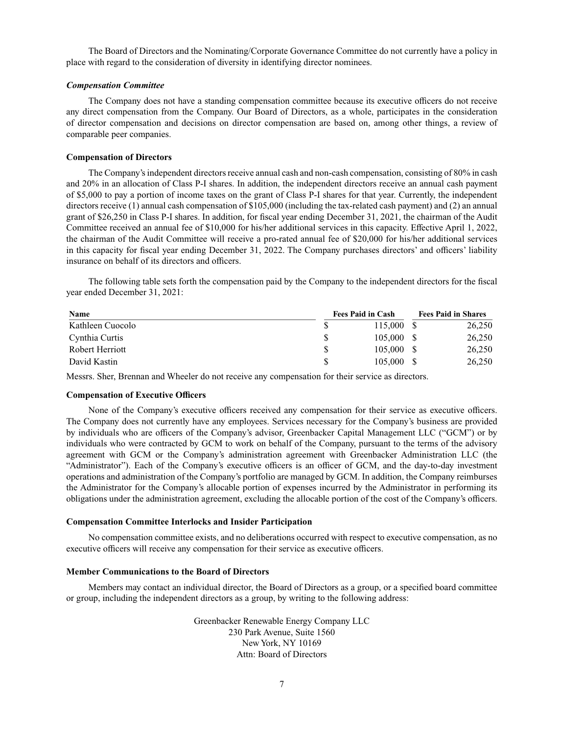The Board of Directors and the Nominating/Corporate Governance Committee do not currently have a policy in place with regard to the consideration of diversity in identifying director nominees.

#### *Compensation Committee*

The Company does not have a standing compensation committee because its executive officers do not receive any direct compensation from the Company. Our Board of Directors, as a whole, participates in the consideration of director compensation and decisions on director compensation are based on, among other things, a review of comparable peer companies.

#### **Compensation of Directors**

The Company's independent directors receive annual cash and non-cash compensation, consisting of 80% in cash and 20% in an allocation of Class P-I shares. In addition, the independent directors receive an annual cash payment of \$5,000 to pay a portion of income taxes on the grant of Class P-I shares for that year. Currently, the independent directors receive (1) annual cash compensation of \$105,000 (including the tax-related cash payment) and (2) an annual grant of \$26,250 in Class P-I shares. In addition, for fiscal year ending December 31, 2021, the chairman of the Audit Committee received an annual fee of \$10,000 for his/her additional services in this capacity. Effective April 1, 2022, the chairman of the Audit Committee will receive a pro-rated annual fee of \$20,000 for his/her additional services in this capacity for fiscal year ending December 31, 2022. The Company purchases directors' and officers' liability insurance on behalf of its directors and officers.

The following table sets forth the compensation paid by the Company to the independent directors for the fiscal year ended December 31, 2021:

| Name             | <b>Fees Paid in Cash</b> |              |  | <b>Fees Paid in Shares</b> |  |  |
|------------------|--------------------------|--------------|--|----------------------------|--|--|
| Kathleen Cuocolo |                          | 115,000 \$   |  | 26,250                     |  |  |
| Cynthia Curtis   |                          | 105,000 \$   |  | 26,250                     |  |  |
| Robert Herriott  |                          | $105,000$ \$ |  | 26,250                     |  |  |
| David Kastin     |                          | $105,000$ \$ |  | 26,250                     |  |  |

Messrs. Sher, Brennan and Wheeler do not receive any compensation for their service as directors.

### **Compensation of Executive Officers**

None of the Company's executive officers received any compensation for their service as executive officers. The Company does not currently have any employees. Services necessary for the Company's business are provided by individuals who are officers of the Company's advisor, Greenbacker Capital Management LLC ("GCM") or by individuals who were contracted by GCM to work on behalf of the Company, pursuant to the terms of the advisory agreement with GCM or the Company's administration agreement with Greenbacker Administration LLC (the "Administrator"). Each of the Company's executive officers is an officer of GCM, and the day-to-day investment operations and administration of the Company's portfolio are managed by GCM. In addition, the Company reimburses the Administrator for the Company's allocable portion of expenses incurred by the Administrator in performing its obligations under the administration agreement, excluding the allocable portion of the cost of the Company's officers.

#### **Compensation Committee Interlocks and Insider Participation**

No compensation committee exists, and no deliberations occurred with respect to executive compensation, as no executive officers will receive any compensation for their service as executive officers.

#### **Member Communications to the Board of Directors**

Members may contact an individual director, the Board of Directors as a group, or a specified board committee or group, including the independent directors as a group, by writing to the following address:

> Greenbacker Renewable Energy Company LLC 230 Park Avenue, Suite 1560 New York, NY 10169 Attn: Board of Directors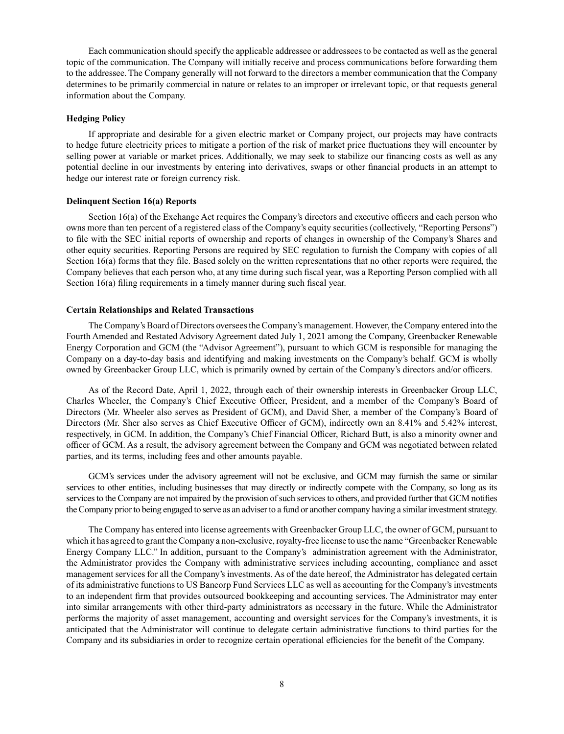Each communication should specify the applicable addressee or addressees to be contacted as well as the general topic of the communication. The Company will initially receive and process communications before forwarding them to the addressee. The Company generally will not forward to the directors a member communication that the Company determines to be primarily commercial in nature or relates to an improper or irrelevant topic, or that requests general information about the Company.

### **Hedging Policy**

If appropriate and desirable for a given electric market or Company project, our projects may have contracts to hedge future electricity prices to mitigate a portion of the risk of market price fluctuations they will encounter by selling power at variable or market prices. Additionally, we may seek to stabilize our financing costs as well as any potential decline in our investments by entering into derivatives, swaps or other financial products in an attempt to hedge our interest rate or foreign currency risk.

# **Delinquent Section 16(a) Reports**

Section 16(a) of the Exchange Act requires the Company's directors and executive officers and each person who owns more than ten percent of a registered class of the Company's equity securities (collectively, "Reporting Persons") to file with the SEC initial reports of ownership and reports of changes in ownership of the Company's Shares and other equity securities. Reporting Persons are required by SEC regulation to furnish the Company with copies of all Section 16(a) forms that they file. Based solely on the written representations that no other reports were required, the Company believes that each person who, at any time during such fiscal year, was a Reporting Person complied with all Section 16(a) filing requirements in a timely manner during such fiscal year.

#### **Certain Relationships and Related Transactions**

The Company's Board of Directors oversees the Company's management. However, the Company entered into the Fourth Amended and Restated Advisory Agreement dated July 1, 2021 among the Company, Greenbacker Renewable Energy Corporation and GCM (the "Advisor Agreement"), pursuant to which GCM is responsible for managing the Company on a day-to-day basis and identifying and making investments on the Company's behalf. GCM is wholly owned by Greenbacker Group LLC, which is primarily owned by certain of the Company's directors and/or officers.

As of the Record Date, April 1, 2022, through each of their ownership interests in Greenbacker Group LLC, Charles Wheeler, the Company's Chief Executive Officer, President, and a member of the Company's Board of Directors (Mr. Wheeler also serves as President of GCM), and David Sher, a member of the Company's Board of Directors (Mr. Sher also serves as Chief Executive Officer of GCM), indirectly own an 8.41% and 5.42% interest, respectively, in GCM. In addition, the Company's Chief Financial Officer, Richard Butt, is also a minority owner and officer of GCM. As a result, the advisory agreement between the Company and GCM was negotiated between related parties, and its terms, including fees and other amounts payable.

GCM's services under the advisory agreement will not be exclusive, and GCM may furnish the same or similar services to other entities, including businesses that may directly or indirectly compete with the Company, so long as its services to the Company are not impaired by the provision of such services to others, and provided further that GCM notifies the Company prior to being engaged to serve as an adviser to a fund or another company having a similar investment strategy.

The Company has entered into license agreements with Greenbacker Group LLC, the owner of GCM, pursuant to which it has agreed to grant the Company a non-exclusive, royalty-free license to use the name "Greenbacker Renewable Energy Company LLC." In addition, pursuant to the Company's administration agreement with the Administrator, the Administrator provides the Company with administrative services including accounting, compliance and asset management services for all the Company's investments. As of the date hereof, the Administrator has delegated certain of its administrative functions to US Bancorp Fund Services LLC as well as accounting for the Company's investments to an independent firm that provides outsourced bookkeeping and accounting services. The Administrator may enter into similar arrangements with other third-party administrators as necessary in the future. While the Administrator performs the majority of asset management, accounting and oversight services for the Company's investments, it is anticipated that the Administrator will continue to delegate certain administrative functions to third parties for the Company and its subsidiaries in order to recognize certain operational efficiencies for the benefit of the Company.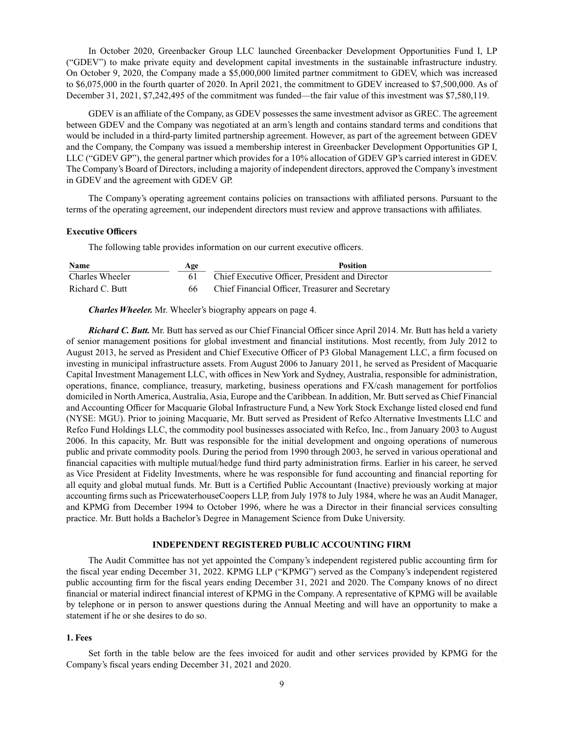In October 2020, Greenbacker Group LLC launched Greenbacker Development Opportunities Fund I, LP ("GDEV") to make private equity and development capital investments in the sustainable infrastructure industry. On October 9, 2020, the Company made a \$5,000,000 limited partner commitment to GDEV, which was increased to \$6,075,000 in the fourth quarter of 2020. In April 2021, the commitment to GDEV increased to \$7,500,000. As of December 31, 2021, \$7,242,495 of the commitment was funded—the fair value of this investment was \$7,580,119.

GDEV is an affiliate of the Company, as GDEV possesses the same investment advisor as GREC. The agreement between GDEV and the Company was negotiated at an arm's length and contains standard terms and conditions that would be included in a third-party limited partnership agreement. However, as part of the agreement between GDEV and the Company, the Company was issued a membership interest in Greenbacker Development Opportunities GP I, LLC ("GDEV GP"), the general partner which provides for a 10% allocation of GDEV GP's carried interest in GDEV. The Company's Board of Directors, including a majority of independent directors, approved the Company's investment in GDEV and the agreement with GDEV GP.

The Company's operating agreement contains policies on transactions with affiliated persons. Pursuant to the terms of the operating agreement, our independent directors must review and approve transactions with affiliates.

# **Executive Officers**

The following table provides information on our current executive officers.

| <b>Name</b>     | Age | <b>Position</b>                                  |
|-----------------|-----|--------------------------------------------------|
| Charles Wheeler |     | Chief Executive Officer, President and Director  |
| Richard C. Butt |     | Chief Financial Officer, Treasurer and Secretary |

*Charles Wheeler.* Mr. Wheeler's biography appears on page 4.

*Richard C. Butt.* Mr. Butt has served as our Chief Financial Officer since April 2014. Mr. Butt has held a variety of senior management positions for global investment and financial institutions. Most recently, from July 2012 to August 2013, he served as President and Chief Executive Officer of P3 Global Management LLC, a firm focused on investing in municipal infrastructure assets. From August 2006 to January 2011, he served as President of Macquarie Capital Investment Management LLC, with offices in New York and Sydney, Australia, responsible for administration, operations, finance, compliance, treasury, marketing, business operations and FX/cash management for portfolios domiciled in North America, Australia, Asia, Europe and the Caribbean. In addition, Mr. Butt served as Chief Financial and Accounting Officer for Macquarie Global Infrastructure Fund, a New York Stock Exchange listed closed end fund (NYSE: MGU). Prior to joining Macquarie, Mr. Butt served as President of Refco Alternative Investments LLC and Refco Fund Holdings LLC, the commodity pool businesses associated with Refco, Inc., from January 2003 to August 2006. In this capacity, Mr. Butt was responsible for the initial development and ongoing operations of numerous public and private commodity pools. During the period from 1990 through 2003, he served in various operational and financial capacities with multiple mutual/hedge fund third party administration firms. Earlier in his career, he served as Vice President at Fidelity Investments, where he was responsible for fund accounting and financial reporting for all equity and global mutual funds. Mr. Butt is a Certified Public Accountant (Inactive) previously working at major accounting firms such as PricewaterhouseCoopers LLP, from July 1978 to July 1984, where he was an Audit Manager, and KPMG from December 1994 to October 1996, where he was a Director in their financial services consulting practice. Mr. Butt holds a Bachelor's Degree in Management Science from Duke University.

### **INDEPENDENT REGISTERED PUBLIC ACCOUNTING FIRM**

The Audit Committee has not yet appointed the Company's independent registered public accounting firm for the fiscal year ending December 31, 2022. KPMG LLP ("KPMG") served as the Company's independent registered public accounting firm for the fiscal years ending December 31, 2021 and 2020. The Company knows of no direct financial or material indirect financial interest of KPMG in the Company. A representative of KPMG will be available by telephone or in person to answer questions during the Annual Meeting and will have an opportunity to make a statement if he or she desires to do so.

### **1. Fees**

Set forth in the table below are the fees invoiced for audit and other services provided by KPMG for the Company's fiscal years ending December 31, 2021 and 2020.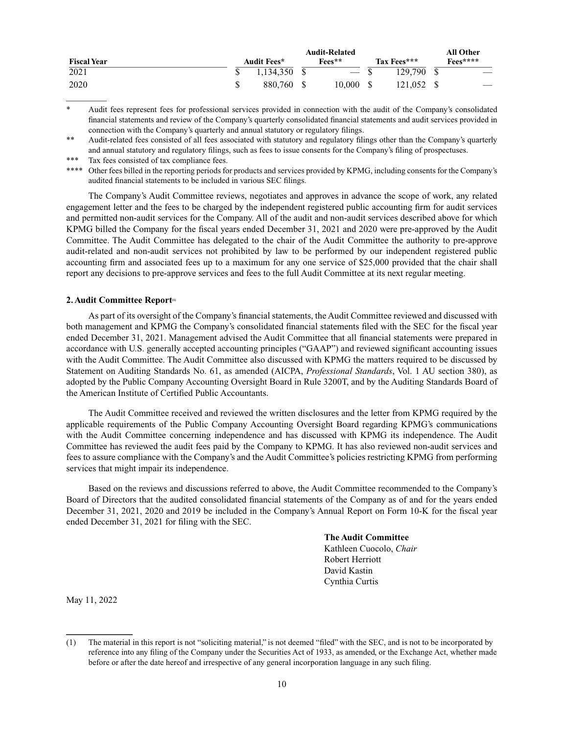|                    | <b>Audit-Related</b> |  |           |  |             |  | All Other                |  |
|--------------------|----------------------|--|-----------|--|-------------|--|--------------------------|--|
| <b>Fiscal Year</b> | <b>Audit Fees*</b>   |  | Fees**    |  | Tax Fees*** |  | $\mathrm{Fe}$ es****     |  |
| 2021               | 1.134.350 \$         |  | $-$ \$    |  | 129.790 \$  |  | $\overline{\phantom{m}}$ |  |
| 2020               | 880.760 \$           |  | 10,000 \$ |  | 121,052 \$  |  | $\overline{\phantom{a}}$ |  |

Audit fees represent fees for professional services provided in connection with the audit of the Company's consolidated financial statements and review of the Company's quarterly consolidated financial statements and audit services provided in connection with the Company's quarterly and annual statutory or regulatory filings.

The Company's Audit Committee reviews, negotiates and approves in advance the scope of work, any related engagement letter and the fees to be charged by the independent registered public accounting firm for audit services and permitted non-audit services for the Company. All of the audit and non-audit services described above for which KPMG billed the Company for the fiscal years ended December 31, 2021 and 2020 were pre-approved by the Audit Committee. The Audit Committee has delegated to the chair of the Audit Committee the authority to pre-approve audit-related and non-audit services not prohibited by law to be performed by our independent registered public accounting firm and associated fees up to a maximum for any one service of \$25,000 provided that the chair shall report any decisions to pre-approve services and fees to the full Audit Committee at its next regular meeting.

### 2. Audit Committee Report<sup>®</sup>

As part of its oversight of the Company's financial statements, the Audit Committee reviewed and discussed with both management and KPMG the Company's consolidated financial statements filed with the SEC for the fiscal year ended December 31, 2021. Management advised the Audit Committee that all financial statements were prepared in accordance with U.S. generally accepted accounting principles ("GAAP") and reviewed significant accounting issues with the Audit Committee. The Audit Committee also discussed with KPMG the matters required to be discussed by Statement on Auditing Standards No. 61, as amended (AICPA, *Professional Standards*, Vol. 1 AU section 380), as adopted by the Public Company Accounting Oversight Board in Rule 3200T, and by the Auditing Standards Board of the American Institute of Certified Public Accountants.

The Audit Committee received and reviewed the written disclosures and the letter from KPMG required by the applicable requirements of the Public Company Accounting Oversight Board regarding KPMG's communications with the Audit Committee concerning independence and has discussed with KPMG its independence. The Audit Committee has reviewed the audit fees paid by the Company to KPMG. It has also reviewed non-audit services and fees to assure compliance with the Company's and the Audit Committee's policies restricting KPMG from performing services that might impair its independence.

Based on the reviews and discussions referred to above, the Audit Committee recommended to the Company's Board of Directors that the audited consolidated financial statements of the Company as of and for the years ended December 31, 2021, 2020 and 2019 be included in the Company's Annual Report on Form 10-K for the fiscal year ended December 31, 2021 for filing with the SEC.

> **The Audit Committee** Kathleen Cuocolo, *Chair* Robert Herriott David Kastin Cynthia Curtis

May 11, 2022

<sup>\*\*</sup> Audit-related fees consisted of all fees associated with statutory and regulatory filings other than the Company's quarterly and annual statutory and regulatory filings, such as fees to issue consents for the Company's filing of prospectuses.

Tax fees consisted of tax compliance fees.

<sup>\*\*\*\*</sup> Other fees billed in the reporting periods for products and services provided by KPMG, including consents for the Company's audited financial statements to be included in various SEC filings.

<sup>(1)</sup> The material in this report is not "soliciting material," is not deemed "filed" with the SEC, and is not to be incorporated by reference into any filing of the Company under the Securities Act of 1933, as amended, or the Exchange Act, whether made before or after the date hereof and irrespective of any general incorporation language in any such filing.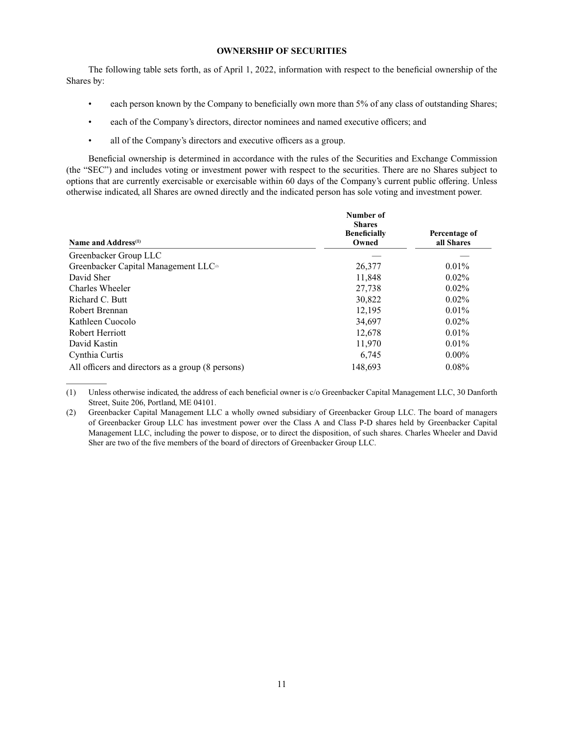### **OWNERSHIP OF SECURITIES**

The following table sets forth, as of April 1, 2022, information with respect to the beneficial ownership of the Shares by:

- each person known by the Company to beneficially own more than 5% of any class of outstanding Shares;
- each of the Company's directors, director nominees and named executive officers; and
- all of the Company's directors and executive officers as a group.

Beneficial ownership is determined in accordance with the rules of the Securities and Exchange Commission (the "SEC") and includes voting or investment power with respect to the securities. There are no Shares subject to options that are currently exercisable or exercisable within 60 days of the Company's current public offering. Unless otherwise indicated, all Shares are owned directly and the indicated person has sole voting and investment power.

| Name and Address <sup>(1)</sup>                   | Number of<br><b>Shares</b><br><b>Beneficially</b><br>Owned | Percentage of<br>all Shares |
|---------------------------------------------------|------------------------------------------------------------|-----------------------------|
| Greenbacker Group LLC                             |                                                            |                             |
| Greenbacker Capital Management LLC <sup>a</sup>   | 26,377                                                     | $0.01\%$                    |
| David Sher                                        | 11,848                                                     | $0.02\%$                    |
| Charles Wheeler                                   | 27,738                                                     | $0.02\%$                    |
| Richard C. Butt                                   | 30,822                                                     | $0.02\%$                    |
| Robert Brennan                                    | 12,195                                                     | $0.01\%$                    |
| Kathleen Cuocolo                                  | 34,697                                                     | $0.02\%$                    |
| Robert Herriott                                   | 12,678                                                     | $0.01\%$                    |
| David Kastin                                      | 11,970                                                     | $0.01\%$                    |
| Cynthia Curtis                                    | 6,745                                                      | $0.00\%$                    |
| All officers and directors as a group (8 persons) | 148.693                                                    | $0.08\%$                    |

(1) Unless otherwise indicated, the address of each beneficial owner is c/o Greenbacker Capital Management LLC, 30 Danforth Street, Suite 206, Portland, ME 04101.

<sup>(2)</sup> Greenbacker Capital Management LLC a wholly owned subsidiary of Greenbacker Group LLC. The board of managers of Greenbacker Group LLC has investment power over the Class A and Class P-D shares held by Greenbacker Capital Management LLC, including the power to dispose, or to direct the disposition, of such shares. Charles Wheeler and David Sher are two of the five members of the board of directors of Greenbacker Group LLC.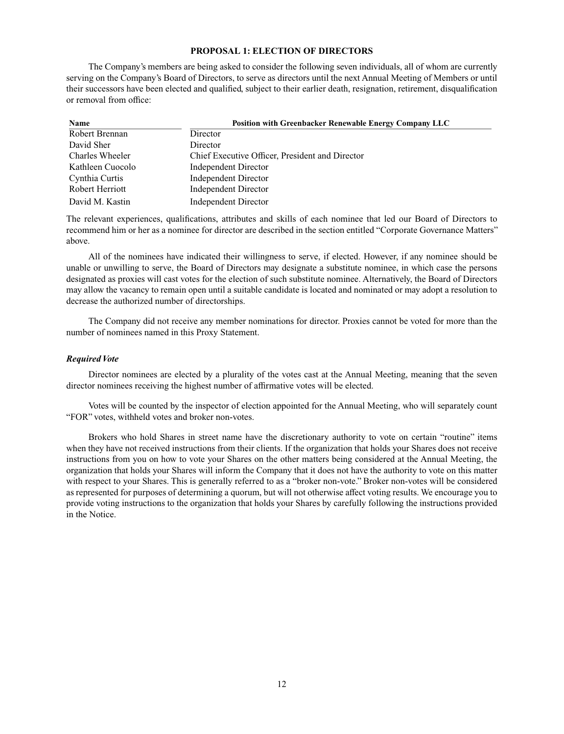# **PROPOSAL 1: ELECTION OF DIRECTORS**

The Company's members are being asked to consider the following seven individuals, all of whom are currently serving on the Company's Board of Directors, to serve as directors until the next Annual Meeting of Members or until their successors have been elected and qualified, subject to their earlier death, resignation, retirement, disqualification or removal from office:

| Name             | <b>Position with Greenbacker Renewable Energy Company LLC</b> |
|------------------|---------------------------------------------------------------|
| Robert Brennan   | Director                                                      |
| David Sher       | Director                                                      |
| Charles Wheeler  | Chief Executive Officer, President and Director               |
| Kathleen Cuocolo | Independent Director                                          |
| Cynthia Curtis   | Independent Director                                          |
| Robert Herriott  | Independent Director                                          |
| David M. Kastin  | <b>Independent Director</b>                                   |

The relevant experiences, qualifications, attributes and skills of each nominee that led our Board of Directors to recommend him or her as a nominee for director are described in the section entitled "Corporate Governance Matters" above.

All of the nominees have indicated their willingness to serve, if elected. However, if any nominee should be unable or unwilling to serve, the Board of Directors may designate a substitute nominee, in which case the persons designated as proxies will cast votes for the election of such substitute nominee. Alternatively, the Board of Directors may allow the vacancy to remain open until a suitable candidate is located and nominated or may adopt a resolution to decrease the authorized number of directorships.

The Company did not receive any member nominations for director. Proxies cannot be voted for more than the number of nominees named in this Proxy Statement.

### *Required Vote*

Director nominees are elected by a plurality of the votes cast at the Annual Meeting, meaning that the seven director nominees receiving the highest number of affirmative votes will be elected.

Votes will be counted by the inspector of election appointed for the Annual Meeting, who will separately count "FOR" votes, withheld votes and broker non-votes.

Brokers who hold Shares in street name have the discretionary authority to vote on certain "routine" items when they have not received instructions from their clients. If the organization that holds your Shares does not receive instructions from you on how to vote your Shares on the other matters being considered at the Annual Meeting, the organization that holds your Shares will inform the Company that it does not have the authority to vote on this matter with respect to your Shares. This is generally referred to as a "broker non-vote." Broker non-votes will be considered as represented for purposes of determining a quorum, but will not otherwise affect voting results. We encourage you to provide voting instructions to the organization that holds your Shares by carefully following the instructions provided in the Notice.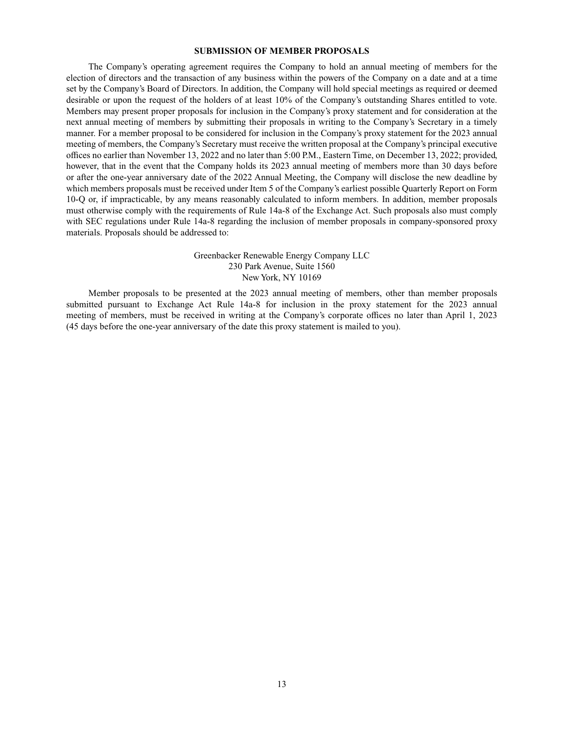#### **SUBMISSION OF MEMBER PROPOSALS**

The Company's operating agreement requires the Company to hold an annual meeting of members for the election of directors and the transaction of any business within the powers of the Company on a date and at a time set by the Company's Board of Directors. In addition, the Company will hold special meetings as required or deemed desirable or upon the request of the holders of at least 10% of the Company's outstanding Shares entitled to vote. Members may present proper proposals for inclusion in the Company's proxy statement and for consideration at the next annual meeting of members by submitting their proposals in writing to the Company's Secretary in a timely manner. For a member proposal to be considered for inclusion in the Company's proxy statement for the 2023 annual meeting of members, the Company's Secretary must receive the written proposal at the Company's principal executive offices no earlier than November 13, 2022 and no later than 5:00 P.M., Eastern Time, on December 13, 2022; provided, however, that in the event that the Company holds its 2023 annual meeting of members more than 30 days before or after the one-year anniversary date of the 2022 Annual Meeting, the Company will disclose the new deadline by which members proposals must be received under Item 5 of the Company's earliest possible Quarterly Report on Form 10-Q or, if impracticable, by any means reasonably calculated to inform members. In addition, member proposals must otherwise comply with the requirements of Rule 14a-8 of the Exchange Act. Such proposals also must comply with SEC regulations under Rule 14a-8 regarding the inclusion of member proposals in company-sponsored proxy materials. Proposals should be addressed to:

# Greenbacker Renewable Energy Company LLC 230 Park Avenue, Suite 1560 New York, NY 10169

Member proposals to be presented at the 2023 annual meeting of members, other than member proposals submitted pursuant to Exchange Act Rule 14a-8 for inclusion in the proxy statement for the 2023 annual meeting of members, must be received in writing at the Company's corporate offices no later than April 1, 2023 (45 days before the one-year anniversary of the date this proxy statement is mailed to you).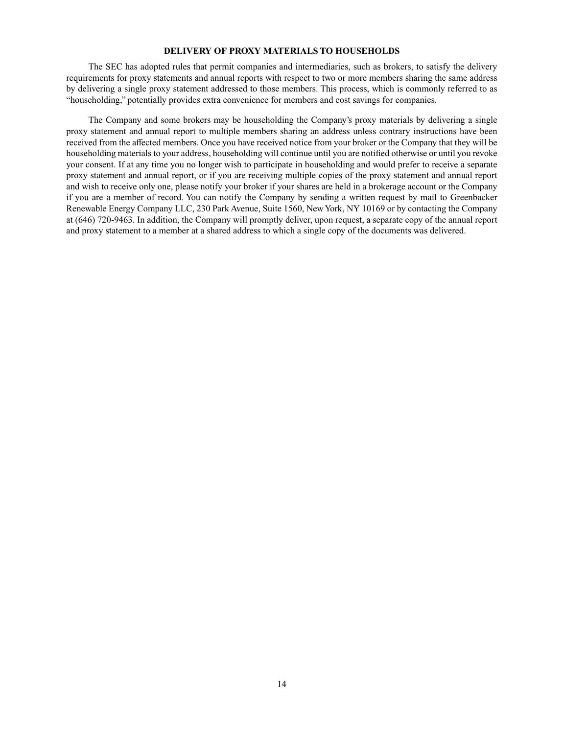# **DELIVERY OF PROXY MATERIALS TO HOUSEHOLDS**

The SEC has adopted rules that permit companies and intermediaries, such as brokers, to satisfy the delivery requirements for proxy statements and annual reports with respect to two or more members sharing the same address by delivering a single proxy statement addressed to those members. This process, which is commonly referred to as "householding," potentially provides extra convenience for members and cost savings for companies.

The Company and some brokers may be householding the Company's proxy materials by delivering a single proxy statement and annual report to multiple members sharing an address unless contrary instructions have been received from the affected members. Once you have received notice from your broker or the Company that they will be householding materials to your address, householding will continue until you are notified otherwise or until you revoke your consent. If at any time you no longer wish to participate in householding and would prefer to receive a separate proxy statement and annual report, or if you are receiving multiple copies of the proxy statement and annual report and wish to receive only one, please notify your broker if your shares are held in a brokerage account or the Company if you are a member of record. You can notify the Company by sending a written request by mail to Greenbacker Renewable Energy Company LLC, 230 Park Avenue, Suite 1560, New York, NY 10169 or by contacting the Company at (646) 720-9463. In addition, the Company will promptly deliver, upon request, a separate copy of the annual report and proxy statement to a member at a shared address to which a single copy of the documents was delivered.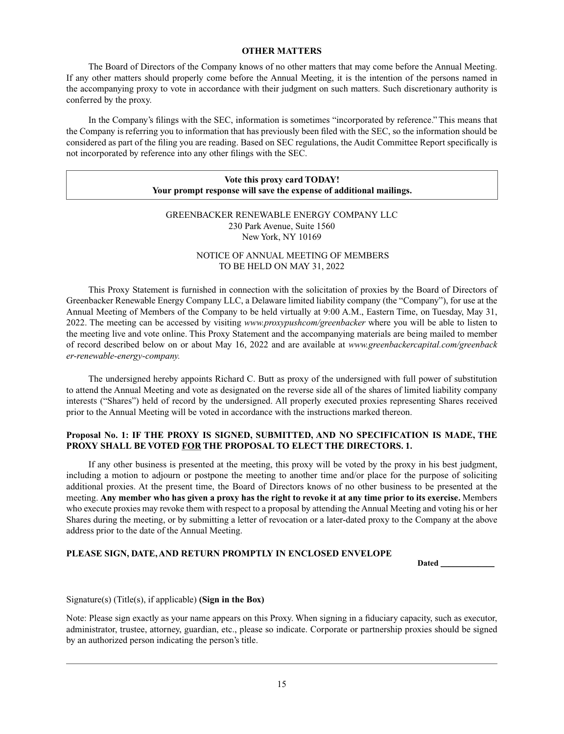## **OTHER MATTERS**

The Board of Directors of the Company knows of no other matters that may come before the Annual Meeting. If any other matters should properly come before the Annual Meeting, it is the intention of the persons named in the accompanying proxy to vote in accordance with their judgment on such matters. Such discretionary authority is conferred by the proxy.

In the Company's filings with the SEC, information is sometimes "incorporated by reference." This means that the Company is referring you to information that has previously been filed with the SEC, so the information should be considered as part of the filing you are reading. Based on SEC regulations, the Audit Committee Report specifically is not incorporated by reference into any other filings with the SEC.

# **Vote this proxy card TODAY! Your prompt response will save the expense of additional mailings.**

# GREENBACKER RENEWABLE ENERGY COMPANY LLC 230 Park Avenue, Suite 1560 New York, NY 10169

# NOTICE OF ANNUAL MEETING OF MEMBERS TO BE HELD ON MAY 31, 2022

This Proxy Statement is furnished in connection with the solicitation of proxies by the Board of Directors of Greenbacker Renewable Energy Company LLC, a Delaware limited liability company (the "Company"), for use at the Annual Meeting of Members of the Company to be held virtually at 9:00 A.M., Eastern Time, on Tuesday, May 31, 2022. The meeting can be accessed by visiting *www.proxypushcom/greenbacker* where you will be able to listen to the meeting live and vote online. This Proxy Statement and the accompanying materials are being mailed to member of record described below on or about May 16, 2022 and are available at *www.greenbackercapital.com/greenback er-renewable-energy-company.*

The undersigned hereby appoints Richard C. Butt as proxy of the undersigned with full power of substitution to attend the Annual Meeting and vote as designated on the reverse side all of the shares of limited liability company interests ("Shares") held of record by the undersigned. All properly executed proxies representing Shares received prior to the Annual Meeting will be voted in accordance with the instructions marked thereon.

# **Proposal No. 1: IF THE PROXY IS SIGNED, SUBMITTED, AND NO SPECIFICATION IS MADE, THE PROXY SHALL BE VOTED FOR THE PROPOSAL TO ELECT THE DIRECTORS. 1.**

If any other business is presented at the meeting, this proxy will be voted by the proxy in his best judgment, including a motion to adjourn or postpone the meeting to another time and/or place for the purpose of soliciting additional proxies. At the present time, the Board of Directors knows of no other business to be presented at the meeting. **Any member who has given a proxy has the right to revoke it at any time prior to its exercise.** Members who execute proxies may revoke them with respect to a proposal by attending the Annual Meeting and voting his or her Shares during the meeting, or by submitting a letter of revocation or a later-dated proxy to the Company at the above address prior to the date of the Annual Meeting.

# **PLEASE SIGN, DATE, AND RETURN PROMPTLY IN ENCLOSED ENVELOPE**

**Dated \_\_\_\_\_\_\_\_\_\_\_\_\_**

# Signature(s) (Title(s), if applicable) **(Sign in the Box)**

Note: Please sign exactly as your name appears on this Proxy. When signing in a fiduciary capacity, such as executor, administrator, trustee, attorney, guardian, etc., please so indicate. Corporate or partnership proxies should be signed by an authorized person indicating the person's title.